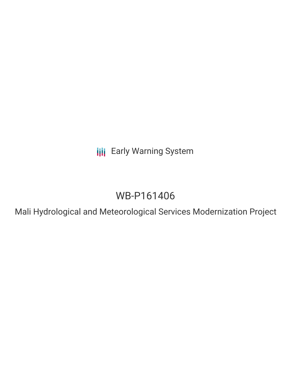**III** Early Warning System

# WB-P161406

Mali Hydrological and Meteorological Services Modernization Project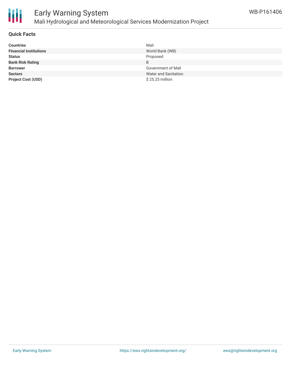

### Early Warning System Mali Hydrological and Meteorological Services Modernization Project

### **Quick Facts**

| <b>Countries</b>              | Mali                 |
|-------------------------------|----------------------|
| <b>Financial Institutions</b> | World Bank (WB)      |
| <b>Status</b>                 | Proposed             |
| <b>Bank Risk Rating</b>       | B                    |
| <b>Borrower</b>               | Government of Mali   |
| <b>Sectors</b>                | Water and Sanitation |
| <b>Project Cost (USD)</b>     | $$25.25$ million     |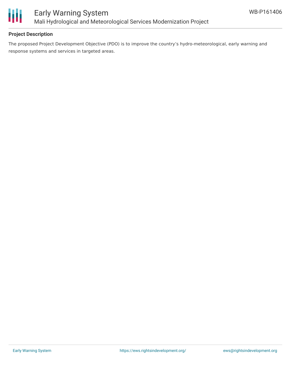

### **Project Description**

The proposed Project Development Objective (PDO) is to improve the country's hydro-meteorological, early warning and response systems and services in targeted areas.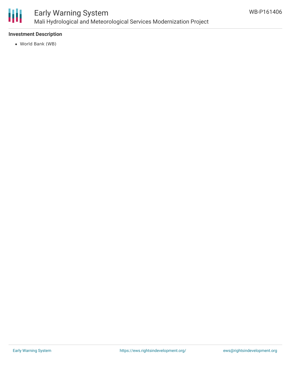

### Early Warning System Mali Hydrological and Meteorological Services Modernization Project

### **Investment Description**

World Bank (WB)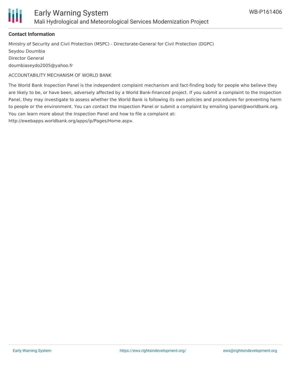

### **Contact Information**

Ministry of Security and Civil Protection (MSPC) - Directorate-General for Civil Protection (DGPC) Seydou Doumbia Director General doumbiaseydo2005@yahoo.fr

ACCOUNTABILITY MECHANISM OF WORLD BANK

The World Bank Inspection Panel is the independent complaint mechanism and fact-finding body for people who believe they are likely to be, or have been, adversely affected by a World Bank-financed project. If you submit a complaint to the Inspection Panel, they may investigate to assess whether the World Bank is following its own policies and procedures for preventing harm to people or the environment. You can contact the Inspection Panel or submit a complaint by emailing ipanel@worldbank.org. You can learn more about the Inspection Panel and how to file a complaint at:

http://ewebapps.worldbank.org/apps/ip/Pages/Home.aspx.